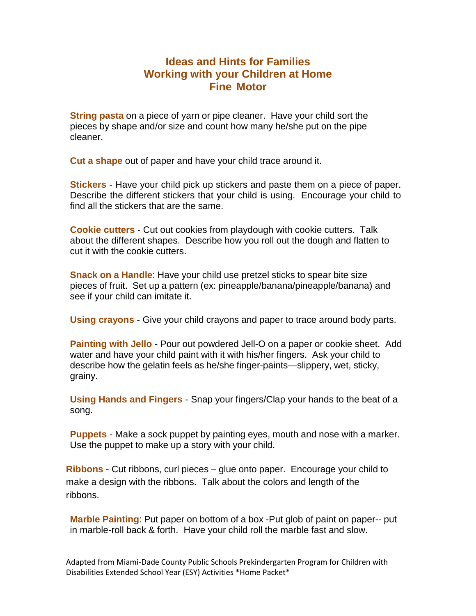# **Ideas and Hints for Families Working with your Children at Home Fine Motor**

**String pasta** on a piece of yarn or pipe cleaner. Have your child sort the pieces by shape and/or size and count how many he/she put on the pipe cleaner.

**Cut a shape** out of paper and have your child trace around it.

**Stickers** - Have your child pick up stickers and paste them on a piece of paper. Describe the different stickers that your child is using. Encourage your child to find all the stickers that are the same.

**Cookie cutters** - Cut out cookies from playdough with cookie cutters. Talk about the different shapes. Describe how you roll out the dough and flatten to cut it with the cookie cutters.

**Snack on a Handle**: Have your child use pretzel sticks to spear bite size pieces of fruit. Set up a pattern (ex: pineapple/banana/pineapple/banana) and see if your child can imitate it.

**Using crayons** - Give your child crayons and paper to trace around body parts.

**Painting with Jello** - Pour out powdered Jell-O on a paper or cookie sheet. Add water and have your child paint with it with his/her fingers. Ask your child to describe how the gelatin feels as he/she finger-paints—slippery, wet, sticky, grainy.

**Using Hands and Fingers** - Snap your fingers/Clap your hands to the beat of a song.

**Puppets** - Make a sock puppet by painting eyes, mouth and nose with a marker. Use the puppet to make up a story with your child.

**Ribbons** - Cut ribbons, curl pieces – glue onto paper. Encourage your child to make a design with the ribbons. Talk about the colors and length of the ribbons.

**Marble Painting**: Put paper on bottom of a box -Put glob of paint on paper-- put in marble-roll back & forth. Have your child roll the marble fast and slow.

Adapted from Miami-Dade County Public Schools Prekindergarten Program for Children with Disabilities Extended School Year (ESY) Activities \*Home Packet\*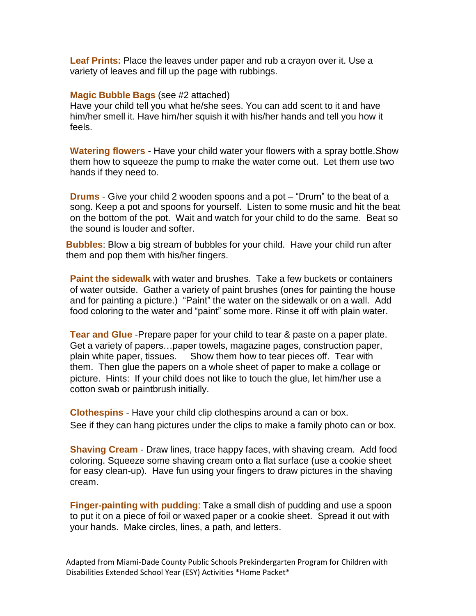**Leaf Prints:** Place the leaves under paper and rub a crayon over it. Use a variety of leaves and fill up the page with rubbings.

#### **Magic Bubble Bags** (see #2 attached)

Have your child tell you what he/she sees. You can add scent to it and have him/her smell it. Have him/her squish it with his/her hands and tell you how it feels.

**Watering flowers** - Have your child water your flowers with a spray bottle.Show them how to squeeze the pump to make the water come out. Let them use two hands if they need to.

**Drums** - Give your child 2 wooden spoons and a pot – "Drum" to the beat of a song. Keep a pot and spoons for yourself. Listen to some music and hit the beat on the bottom of the pot. Wait and watch for your child to do the same. Beat so the sound is louder and softer.

**Bubbles**: Blow a big stream of bubbles for your child. Have your child run after them and pop them with his/her fingers.

**Paint the sidewalk** with water and brushes. Take a few buckets or containers of water outside. Gather a variety of paint brushes (ones for painting the house and for painting a picture.) "Paint" the water on the sidewalk or on a wall. Add food coloring to the water and "paint" some more. Rinse it off with plain water.

**Tear and Glue** -Prepare paper for your child to tear & paste on a paper plate. Get a variety of papers…paper towels, magazine pages, construction paper, plain white paper, tissues. Show them how to tear pieces off. Tear with them. Then glue the papers on a whole sheet of paper to make a collage or picture. Hints: If your child does not like to touch the glue, let him/her use a cotton swab or paintbrush initially.

**Clothespins** - Have your child clip clothespins around a can or box. See if they can hang pictures under the clips to make a family photo can or box.

**Shaving Cream** - Draw lines, trace happy faces, with shaving cream. Add food coloring. Squeeze some shaving cream onto a flat surface (use a cookie sheet for easy clean-up). Have fun using your fingers to draw pictures in the shaving cream.

**Finger-painting with pudding**: Take a small dish of pudding and use a spoon to put it on a piece of foil or waxed paper or a cookie sheet. Spread it out with your hands. Make circles, lines, a path, and letters.

Adapted from Miami-Dade County Public Schools Prekindergarten Program for Children with Disabilities Extended School Year (ESY) Activities \*Home Packet\*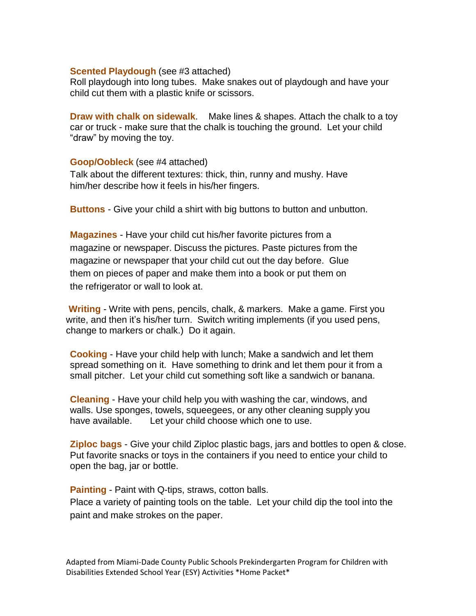### **Scented Playdough** (see #3 attached)

Roll playdough into long tubes. Make snakes out of playdough and have your child cut them with a plastic knife or scissors.

**Draw with chalk on sidewalk**. Make lines & shapes. Attach the chalk to a toy car or truck - make sure that the chalk is touching the ground. Let your child "draw" by moving the toy.

### **Goop/Oobleck** (see #4 attached)

Talk about the different textures: thick, thin, runny and mushy. Have him/her describe how it feels in his/her fingers.

**Buttons** - Give your child a shirt with big buttons to button and unbutton.

**Magazines** - Have your child cut his/her favorite pictures from a magazine or newspaper. Discuss the pictures. Paste pictures from the magazine or newspaper that your child cut out the day before. Glue them on pieces of paper and make them into a book or put them on the refrigerator or wall to look at.

**Writing** - Write with pens, pencils, chalk, & markers. Make a game. First you write, and then it's his/her turn. Switch writing implements (if you used pens, change to markers or chalk.) Do it again.

**Cooking** - Have your child help with lunch; Make a sandwich and let them spread something on it. Have something to drink and let them pour it from a small pitcher. Let your child cut something soft like a sandwich or banana.

**Cleaning** - Have your child help you with washing the car, windows, and walls. Use sponges, towels, squeegees, or any other cleaning supply you have available. Let your child choose which one to use.

**Ziploc bags** - Give your child Ziploc plastic bags, jars and bottles to open & close. Put favorite snacks or toys in the containers if you need to entice your child to open the bag, jar or bottle.

**Painting** - Paint with Q-tips, straws, cotton balls.

Place a variety of painting tools on the table. Let your child dip the tool into the paint and make strokes on the paper.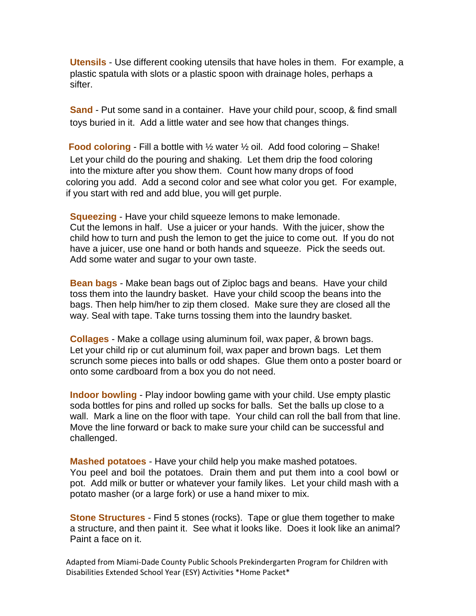**Utensils** - Use different cooking utensils that have holes in them. For example, a plastic spatula with slots or a plastic spoon with drainage holes, perhaps a sifter.

**Sand** - Put some sand in a container. Have your child pour, scoop, & find small toys buried in it. Add a little water and see how that changes things.

**Food coloring** - Fill a bottle with ½ water ½ oil. Add food coloring – Shake! Let your child do the pouring and shaking. Let them drip the food coloring into the mixture after you show them. Count how many drops of food coloring you add. Add a second color and see what color you get. For example, if you start with red and add blue, you will get purple.

**Squeezing** - Have your child squeeze lemons to make lemonade. Cut the lemons in half. Use a juicer or your hands. With the juicer, show the child how to turn and push the lemon to get the juice to come out. If you do not have a juicer, use one hand or both hands and squeeze. Pick the seeds out. Add some water and sugar to your own taste.

**Bean bags** - Make bean bags out of Ziploc bags and beans. Have your child toss them into the laundry basket. Have your child scoop the beans into the bags. Then help him/her to zip them closed. Make sure they are closed all the way. Seal with tape. Take turns tossing them into the laundry basket.

**Collages** - Make a collage using aluminum foil, wax paper, & brown bags. Let your child rip or cut aluminum foil, wax paper and brown bags. Let them scrunch some pieces into balls or odd shapes. Glue them onto a poster board or onto some cardboard from a box you do not need.

**Indoor bowling** - Play indoor bowling game with your child. Use empty plastic soda bottles for pins and rolled up socks for balls. Set the balls up close to a wall. Mark a line on the floor with tape. Your child can roll the ball from that line. Move the line forward or back to make sure your child can be successful and challenged.

**Mashed potatoes** - Have your child help you make mashed potatoes. You peel and boil the potatoes. Drain them and put them into a cool bowl or pot. Add milk or butter or whatever your family likes. Let your child mash with a potato masher (or a large fork) or use a hand mixer to mix.

**Stone Structures** - Find 5 stones (rocks). Tape or glue them together to make a structure, and then paint it. See what it looks like. Does it look like an animal? Paint a face on it.

Adapted from Miami-Dade County Public Schools Prekindergarten Program for Children with Disabilities Extended School Year (ESY) Activities \*Home Packet\*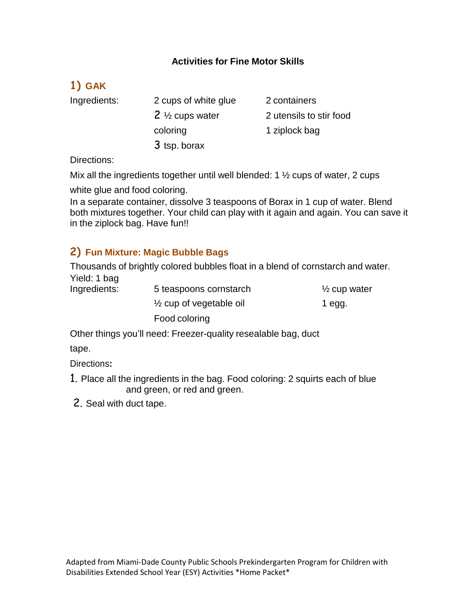## **Activities for Fine Motor Skills**

# **1) GAK**

Ingredients: 2 cups of white glue 2 containers 2 <sup>1/2</sup> cups water 2 utensils to stir food coloring 1 ziplock bag 3 tsp. borax

Directions:

Mix all the ingredients together until well blended: 1 ½ cups of water, 2 cups

white glue and food coloring.

In a separate container, dissolve 3 teaspoons of Borax in 1 cup of water. Blend both mixtures together. Your child can play with it again and again. You can save it in the ziplock bag. Have fun!!

# **2) Fun Mixture: Magic Bubble Bags**

Thousands of brightly colored bubbles float in a blend of cornstarch and water. Yield: 1 bag

| Ingredients: | 5 teaspoons cornstarch             | $\frac{1}{2}$ cup water |
|--------------|------------------------------------|-------------------------|
|              | $\frac{1}{2}$ cup of vegetable oil | 1 egg.                  |
|              | Food coloring                      |                         |

Other things you'll need: Freezer-quality resealable bag, duct

tape.

Directions**:**

- 1. Place all the ingredients in the bag. Food coloring: 2 squirts each of blue and green, or red and green.
- 2. Seal with duct tape.